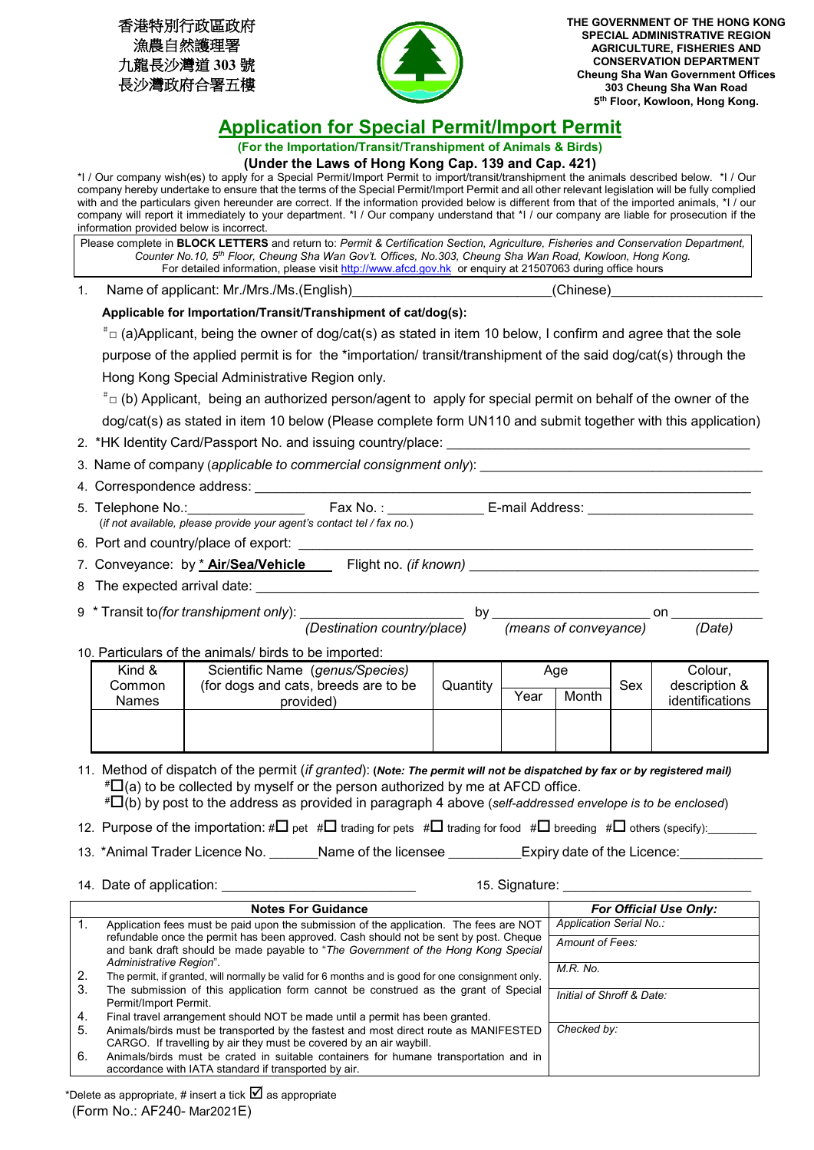| 香港特別行政區政府   |
|-------------|
| 漁農自然護理署     |
| 九龍長沙灣道 303號 |
| 長沙灣政府合署五樓   |



**THE GOVERNMENT OF THE HONG KONG SPECIAL ADMINISTRATIVE REGION AGRICULTURE, FISHERIES AND CONSERVATION DEPARTMENT Cheung Sha Wan Government Offices 303 Cheung Sha Wan Road 5th Floor, Kowloon, Hong Kong.**

## **Application for Special Permit/Import Permit**

**(For the Importation/Transit/Transhipment of Animals & Birds)**

| (Under the Laws of Hong Kong Cap. 139 and Cap. 421) |  |  |
|-----------------------------------------------------|--|--|
|                                                     |  |  |

\*I / Our company wish(es) to apply for a Special Permit/Import Permit to import/transit/transhipment the animals described below. \*I / Our company hereby undertake to ensure that the terms of the Special Permit/Import Permit and all other relevant legislation will be fully complied with and the particulars given hereunder are correct. If the information provided below is different from that of the imported animals, \*I / our company will report it immediately to your department. \*I / Our company understand that \*I / our company are liable for prosecution if the information provided below is incorrect.

| (Chinese)<br>Name of applicant: Mr./Mrs./Ms.(English)<br>1.<br>Applicable for Importation/Transit/Transhipment of cat/dog(s):<br>$*$ <sub>□</sub> (a)Applicant, being the owner of dog/cat(s) as stated in item 10 below, I confirm and agree that the sole<br>purpose of the applied permit is for the *importation/ transit/transhipment of the said dog/cat(s) through the<br>Hong Kong Special Administrative Region only.<br>$\overline{\phantom{a}}$ $\Box$ (b) Applicant, being an authorized person/agent to apply for special permit on behalf of the owner of the<br>2. *HK Identity Card/Passport No. and issuing country/place: ____________________<br>(if not available, please provide your agent's contact tel / fax no.) |  |  |  |  |  |
|-------------------------------------------------------------------------------------------------------------------------------------------------------------------------------------------------------------------------------------------------------------------------------------------------------------------------------------------------------------------------------------------------------------------------------------------------------------------------------------------------------------------------------------------------------------------------------------------------------------------------------------------------------------------------------------------------------------------------------------------|--|--|--|--|--|
|                                                                                                                                                                                                                                                                                                                                                                                                                                                                                                                                                                                                                                                                                                                                           |  |  |  |  |  |
| dog/cat(s) as stated in item 10 below (Please complete form UN110 and submit together with this application)                                                                                                                                                                                                                                                                                                                                                                                                                                                                                                                                                                                                                              |  |  |  |  |  |
|                                                                                                                                                                                                                                                                                                                                                                                                                                                                                                                                                                                                                                                                                                                                           |  |  |  |  |  |
|                                                                                                                                                                                                                                                                                                                                                                                                                                                                                                                                                                                                                                                                                                                                           |  |  |  |  |  |
|                                                                                                                                                                                                                                                                                                                                                                                                                                                                                                                                                                                                                                                                                                                                           |  |  |  |  |  |
|                                                                                                                                                                                                                                                                                                                                                                                                                                                                                                                                                                                                                                                                                                                                           |  |  |  |  |  |
|                                                                                                                                                                                                                                                                                                                                                                                                                                                                                                                                                                                                                                                                                                                                           |  |  |  |  |  |
|                                                                                                                                                                                                                                                                                                                                                                                                                                                                                                                                                                                                                                                                                                                                           |  |  |  |  |  |
|                                                                                                                                                                                                                                                                                                                                                                                                                                                                                                                                                                                                                                                                                                                                           |  |  |  |  |  |
|                                                                                                                                                                                                                                                                                                                                                                                                                                                                                                                                                                                                                                                                                                                                           |  |  |  |  |  |
|                                                                                                                                                                                                                                                                                                                                                                                                                                                                                                                                                                                                                                                                                                                                           |  |  |  |  |  |
|                                                                                                                                                                                                                                                                                                                                                                                                                                                                                                                                                                                                                                                                                                                                           |  |  |  |  |  |
|                                                                                                                                                                                                                                                                                                                                                                                                                                                                                                                                                                                                                                                                                                                                           |  |  |  |  |  |
|                                                                                                                                                                                                                                                                                                                                                                                                                                                                                                                                                                                                                                                                                                                                           |  |  |  |  |  |
|                                                                                                                                                                                                                                                                                                                                                                                                                                                                                                                                                                                                                                                                                                                                           |  |  |  |  |  |
|                                                                                                                                                                                                                                                                                                                                                                                                                                                                                                                                                                                                                                                                                                                                           |  |  |  |  |  |
| (Date)                                                                                                                                                                                                                                                                                                                                                                                                                                                                                                                                                                                                                                                                                                                                    |  |  |  |  |  |
| 10. Particulars of the animals/ birds to be imported:                                                                                                                                                                                                                                                                                                                                                                                                                                                                                                                                                                                                                                                                                     |  |  |  |  |  |
| Scientific Name (genus/Species)<br>Kind &<br>Age<br>Colour,<br>description &<br>Common<br>(for dogs and cats, breeds are to be<br>Quantity<br>Sex                                                                                                                                                                                                                                                                                                                                                                                                                                                                                                                                                                                         |  |  |  |  |  |
| Year<br>Month<br>identifications<br><b>Names</b><br>provided)                                                                                                                                                                                                                                                                                                                                                                                                                                                                                                                                                                                                                                                                             |  |  |  |  |  |
|                                                                                                                                                                                                                                                                                                                                                                                                                                                                                                                                                                                                                                                                                                                                           |  |  |  |  |  |
|                                                                                                                                                                                                                                                                                                                                                                                                                                                                                                                                                                                                                                                                                                                                           |  |  |  |  |  |
| 11. Method of dispatch of the permit (if granted): (Note: The permit will not be dispatched by fax or by registered mail)<br>$\sharp \Box$ (a) to be collected by myself or the person authorized by me at AFCD office.<br># $\Box$ (b) by post to the address as provided in paragraph 4 above (self-addressed envelope is to be enclosed)                                                                                                                                                                                                                                                                                                                                                                                               |  |  |  |  |  |
| 12. Purpose of the importation: # $\Box$ pet # $\Box$ trading for pets # $\Box$ trading for food # $\Box$ breeding # $\Box$ others (specify): ______                                                                                                                                                                                                                                                                                                                                                                                                                                                                                                                                                                                      |  |  |  |  |  |
| 13. *Animal Trader Licence No. Name of the licensee Figure 1 Expiry date of the Licence:                                                                                                                                                                                                                                                                                                                                                                                                                                                                                                                                                                                                                                                  |  |  |  |  |  |
| 14. Date of application: ___________________<br>15. Signature: ___________<br>$\sim 10^{11}$ m $^{-1}$                                                                                                                                                                                                                                                                                                                                                                                                                                                                                                                                                                                                                                    |  |  |  |  |  |
| <b>For Official Use Only:</b><br><b>Notes For Guidance</b>                                                                                                                                                                                                                                                                                                                                                                                                                                                                                                                                                                                                                                                                                |  |  |  |  |  |

|     | <b>Notes For Guidance</b>                                                                                                                                                  | <b>For Official Use Only:</b> |
|-----|----------------------------------------------------------------------------------------------------------------------------------------------------------------------------|-------------------------------|
|     | Application fees must be paid upon the submission of the application. The fees are NOT                                                                                     | Application Serial No.:       |
|     | refundable once the permit has been approved. Cash should not be sent by post. Cheque<br>and bank draft should be made payable to "The Government of the Hong Kong Special | Amount of Fees:               |
|     | Administrative Region".                                                                                                                                                    |                               |
| 2.  | The permit, if granted, will normally be valid for 6 months and is good for one consignment only.                                                                          | $M.R.$ No.                    |
| 3.  | The submission of this application form cannot be construed as the grant of Special                                                                                        | Initial of Shroff & Date:     |
|     | Permit/Import Permit.                                                                                                                                                      |                               |
| -4. | Final travel arrangement should NOT be made until a permit has been granted.                                                                                               |                               |
| 5.  | Animals/birds must be transported by the fastest and most direct route as MANIFESTED                                                                                       | Checked by:                   |
|     | CARGO. If travelling by air they must be covered by an air waybill.                                                                                                        |                               |
| 6.  | Animals/birds must be crated in suitable containers for humane transportation and in                                                                                       |                               |
|     | accordance with IATA standard if transported by air.                                                                                                                       |                               |

(Form No.: AF240- Mar2021E) \*Delete as appropriate, # insert a tick  $\boxtimes$  as appropriate